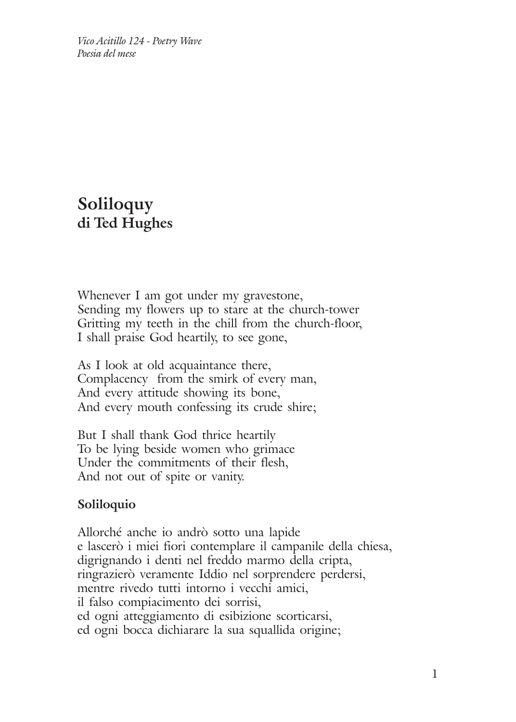*Vico Acitillo 124 - Poetry Wave Poesia del mese*

## **Soliloquy di Ted Hughes**

Whenever I am got under my gravestone, Sending my flowers up to stare at the church-tower Gritting my teeth in the chill from the church-floor, I shall praise God heartily, to see gone,

As I look at old acquaintance there, Complacency from the smirk of every man, And every attitude showing its bone, And every mouth confessing its crude shire;

But I shall thank God thrice heartily To be lying beside women who grimace Under the commitments of their flesh, And not out of spite or vanity.

## **Soliloquio**

Allorché anche io andrò sotto una lapide e lascerò i miei fiori contemplare il campanile della chiesa, digrignando i denti nel freddo marmo della cripta, ringrazierò veramente Iddio nel sorprendere perdersi, mentre rivedo tutti intorno i vecchi amici, il falso compiacimento dei sorrisi, ed ogni atteggiamento di esibizione scorticarsi, ed ogni bocca dichiarare la sua squallida origine;